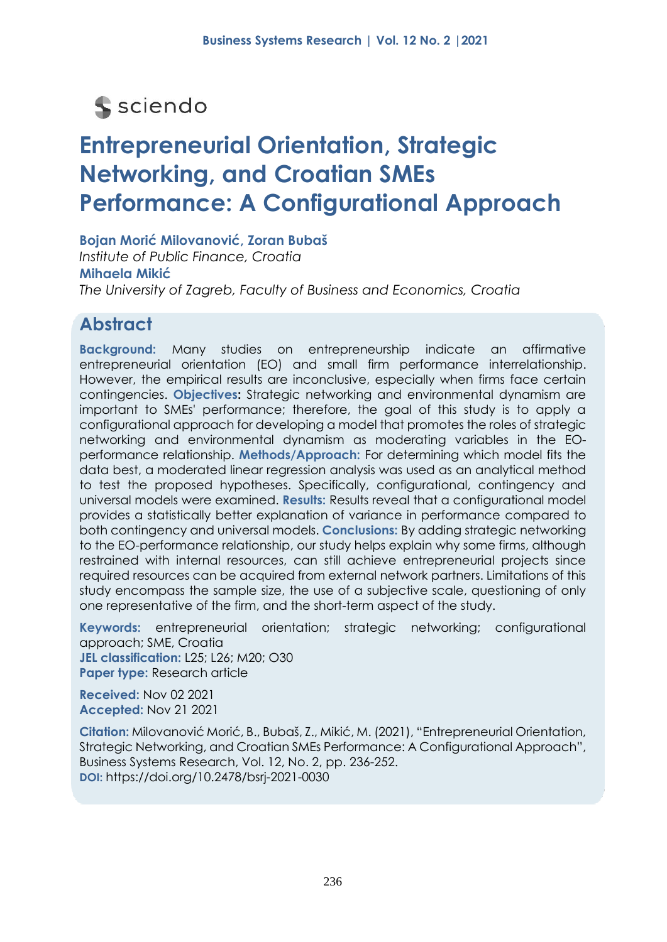# s sciendo

# **Entrepreneurial Orientation, Strategic Networking, and Croatian SMEs Performance: A Configurational Approach**

**Bojan Morić Milovanović, Zoran Bubaš** *Institute of Public Finance, Croatia* **Mihaela Mikić** *The University of Zagreb, Faculty of Business and Economics, Croatia*

# **Abstract**

**Background:** Many studies on entrepreneurship indicate an affirmative entrepreneurial orientation (EO) and small firm performance interrelationship. However, the empirical results are inconclusive, especially when firms face certain contingencies. **Objectives:** Strategic networking and environmental dynamism are important to SMEs' performance; therefore, the goal of this study is to apply a configurational approach for developing a model that promotes the roles of strategic networking and environmental dynamism as moderating variables in the EOperformance relationship. **Methods/Approach:** For determining which model fits the data best, a moderated linear regression analysis was used as an analytical method to test the proposed hypotheses. Specifically, configurational, contingency and universal models were examined. **Results:** Results reveal that a configurational model provides a statistically better explanation of variance in performance compared to both contingency and universal models. **Conclusions:** By adding strategic networking to the EO-performance relationship, our study helps explain why some firms, although restrained with internal resources, can still achieve entrepreneurial projects since required resources can be acquired from external network partners. Limitations of this study encompass the sample size, the use of a subjective scale, questioning of only one representative of the firm, and the short-term aspect of the study.

**Keywords:** entrepreneurial orientation; strategic networking; configurational approach; SME, Croatia **JEL classification:** L25; L26; M20; O30 **Paper type:** Research article

**Received:** Nov 02 2021 **Accepted:** Nov 21 2021

**Citation:** Milovanović Morić, B., Bubaš, Z., Mikić, M. (2021), "Entrepreneurial Orientation, Strategic Networking, and Croatian SMEs Performance: A Configurational Approach", Business Systems Research, Vol. 12, No. 2, pp. 236-252. **DOI:** https://doi.org/10.2478/bsrj-2021-0030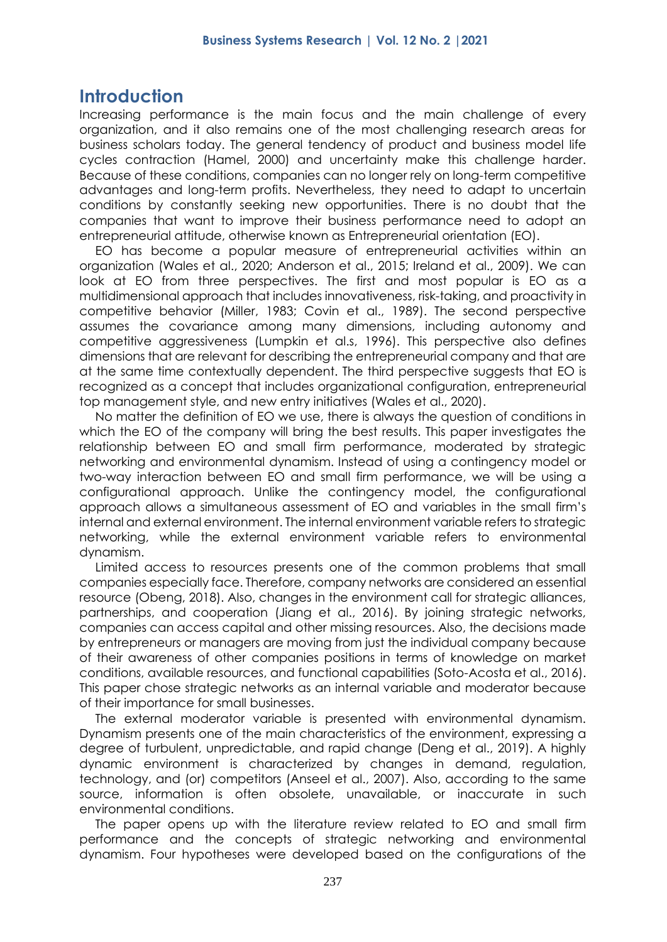## **Introduction**

Increasing performance is the main focus and the main challenge of every organization, and it also remains one of the most challenging research areas for business scholars today. The general tendency of product and business model life cycles contraction (Hamel, 2000) and uncertainty make this challenge harder. Because of these conditions, companies can no longer rely on long-term competitive advantages and long-term profits. Nevertheless, they need to adapt to uncertain conditions by constantly seeking new opportunities. There is no doubt that the companies that want to improve their business performance need to adopt an entrepreneurial attitude, otherwise known as Entrepreneurial orientation (EO).

EO has become a popular measure of entrepreneurial activities within an organization (Wales et al., 2020; Anderson et al., 2015; Ireland et al., 2009). We can look at EO from three perspectives. The first and most popular is EO as a multidimensional approach that includes innovativeness, risk-taking, and proactivity in competitive behavior (Miller, 1983; Covin et al., 1989). The second perspective assumes the covariance among many dimensions, including autonomy and competitive aggressiveness (Lumpkin et al.s, 1996). This perspective also defines dimensions that are relevant for describing the entrepreneurial company and that are at the same time contextually dependent. The third perspective suggests that EO is recognized as a concept that includes organizational configuration, entrepreneurial top management style, and new entry initiatives (Wales et al., 2020).

No matter the definition of EO we use, there is always the question of conditions in which the EO of the company will bring the best results. This paper investigates the relationship between EO and small firm performance, moderated by strategic networking and environmental dynamism. Instead of using a contingency model or two-way interaction between EO and small firm performance, we will be using a configurational approach. Unlike the contingency model, the configurational approach allows a simultaneous assessment of EO and variables in the small firm's internal and external environment. The internal environment variable refers to strategic networking, while the external environment variable refers to environmental dynamism.

Limited access to resources presents one of the common problems that small companies especially face. Therefore, company networks are considered an essential resource (Obeng, 2018). Also, changes in the environment call for strategic alliances, partnerships, and cooperation (Jiang et al., 2016). By joining strategic networks, companies can access capital and other missing resources. Also, the decisions made by entrepreneurs or managers are moving from just the individual company because of their awareness of other companies positions in terms of knowledge on market conditions, available resources, and functional capabilities (Soto-Acosta et al., 2016). This paper chose strategic networks as an internal variable and moderator because of their importance for small businesses.

The external moderator variable is presented with environmental dynamism. Dynamism presents one of the main characteristics of the environment, expressing a degree of turbulent, unpredictable, and rapid change (Deng et al., 2019). A highly dynamic environment is characterized by changes in demand, regulation, technology, and (or) competitors (Anseel et al., 2007). Also, according to the same source, information is often obsolete, unavailable, or inaccurate in such environmental conditions.

The paper opens up with the literature review related to EO and small firm performance and the concepts of strategic networking and environmental dynamism. Four hypotheses were developed based on the configurations of the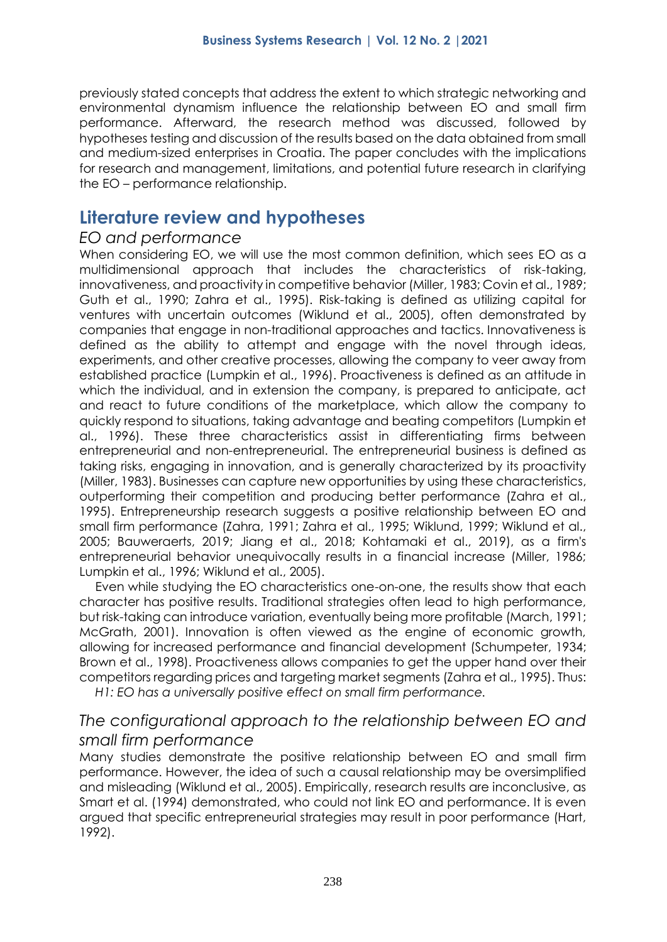previously stated concepts that address the extent to which strategic networking and environmental dynamism influence the relationship between EO and small firm performance. Afterward, the research method was discussed, followed by hypotheses testing and discussion of the results based on the data obtained from small and medium-sized enterprises in Croatia. The paper concludes with the implications for research and management, limitations, and potential future research in clarifying the EO – performance relationship.

## **Literature review and hypotheses**

#### *EO and performance*

When considering EO, we will use the most common definition, which sees EO as a multidimensional approach that includes the characteristics of risk-taking, innovativeness, and proactivity in competitive behavior (Miller, 1983; Covin et al., 1989; Guth et al., 1990; Zahra et al., 1995). Risk-taking is defined as utilizing capital for ventures with uncertain outcomes (Wiklund et al., 2005), often demonstrated by companies that engage in non-traditional approaches and tactics. Innovativeness is defined as the ability to attempt and engage with the novel through ideas, experiments, and other creative processes, allowing the company to veer away from established practice (Lumpkin et al., 1996). Proactiveness is defined as an attitude in which the individual, and in extension the company, is prepared to anticipate, act and react to future conditions of the marketplace, which allow the company to quickly respond to situations, taking advantage and beating competitors (Lumpkin et al., 1996). These three characteristics assist in differentiating firms between entrepreneurial and non-entrepreneurial. The entrepreneurial business is defined as taking risks, engaging in innovation, and is generally characterized by its proactivity (Miller, 1983). Businesses can capture new opportunities by using these characteristics, outperforming their competition and producing better performance (Zahra et al., 1995). Entrepreneurship research suggests a positive relationship between EO and small firm performance (Zahra, 1991; Zahra et al., 1995; Wiklund, 1999; Wiklund et al., 2005; Bauweraerts, 2019; Jiang et al., 2018; Kohtamaki et al., 2019), as a firm's entrepreneurial behavior unequivocally results in a financial increase (Miller, 1986; Lumpkin et al., 1996; Wiklund et al., 2005).

Even while studying the EO characteristics one-on-one, the results show that each character has positive results. Traditional strategies often lead to high performance, but risk-taking can introduce variation, eventually being more profitable (March, 1991; McGrath, 2001). Innovation is often viewed as the engine of economic growth, allowing for increased performance and financial development (Schumpeter, 1934; Brown et al., 1998). Proactiveness allows companies to get the upper hand over their competitors regarding prices and targeting market segments (Zahra et al., 1995). Thus:

*H1: EO has a universally positive effect on small firm performance.*

### *The configurational approach to the relationship between EO and small firm performance*

Many studies demonstrate the positive relationship between EO and small firm performance. However, the idea of such a causal relationship may be oversimplified and misleading (Wiklund et al., 2005). Empirically, research results are inconclusive, as Smart et al. (1994) demonstrated, who could not link EO and performance. It is even argued that specific entrepreneurial strategies may result in poor performance (Hart, 1992).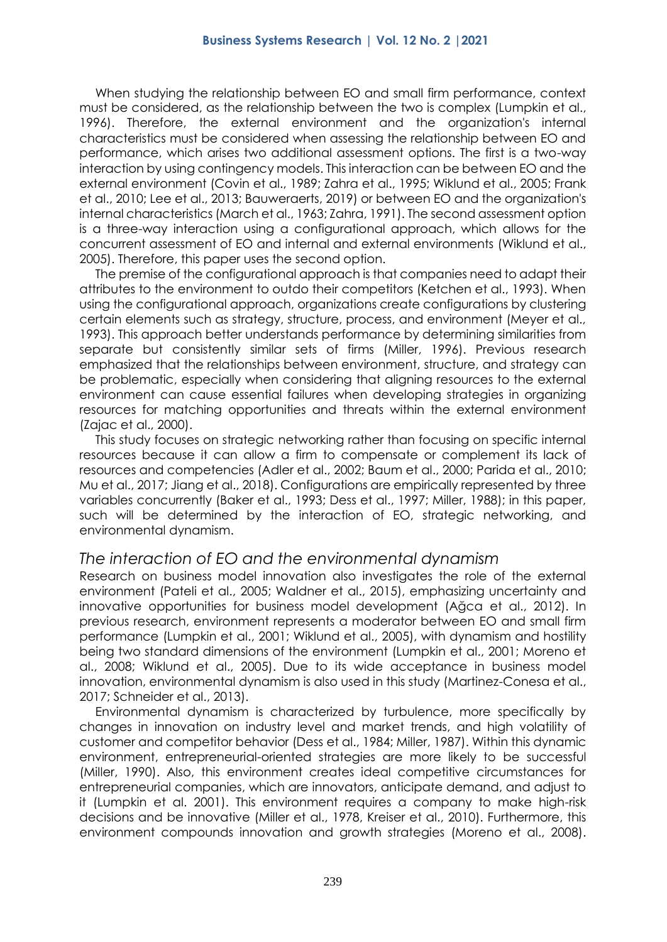When studying the relationship between EO and small firm performance, context must be considered, as the relationship between the two is complex (Lumpkin et al., 1996). Therefore, the external environment and the organization's internal characteristics must be considered when assessing the relationship between EO and performance, which arises two additional assessment options. The first is a two-way interaction by using contingency models. This interaction can be between EO and the external environment (Covin et al., 1989; Zahra et al., 1995; Wiklund et al., 2005; Frank et al., 2010; Lee et al., 2013; Bauweraerts, 2019) or between EO and the organization's internal characteristics (March et al., 1963; Zahra, 1991). The second assessment option is a three-way interaction using a configurational approach, which allows for the concurrent assessment of EO and internal and external environments (Wiklund et al., 2005). Therefore, this paper uses the second option.

The premise of the configurational approach is that companies need to adapt their attributes to the environment to outdo their competitors (Ketchen et al., 1993). When using the configurational approach, organizations create configurations by clustering certain elements such as strategy, structure, process, and environment (Meyer et al., 1993). This approach better understands performance by determining similarities from separate but consistently similar sets of firms (Miller, 1996). Previous research emphasized that the relationships between environment, structure, and strategy can be problematic, especially when considering that aligning resources to the external environment can cause essential failures when developing strategies in organizing resources for matching opportunities and threats within the external environment (Zajac et al., 2000).

This study focuses on strategic networking rather than focusing on specific internal resources because it can allow a firm to compensate or complement its lack of resources and competencies (Adler et al., 2002; Baum et al., 2000; Parida et al., 2010; Mu et al., 2017; Jiang et al., 2018). Configurations are empirically represented by three variables concurrently (Baker et al., 1993; Dess et al., 1997; Miller, 1988); in this paper, such will be determined by the interaction of EO, strategic networking, and environmental dynamism.

#### *The interaction of EO and the environmental dynamism*

Research on business model innovation also investigates the role of the external environment (Pateli et al., 2005; Waldner et al., 2015), emphasizing uncertainty and innovative opportunities for business model development (Ağca et al., 2012). In previous research, environment represents a moderator between EO and small firm performance (Lumpkin et al., 2001; Wiklund et al., 2005), with dynamism and hostility being two standard dimensions of the environment (Lumpkin et al., 2001; Moreno et al., 2008; Wiklund et al., 2005). Due to its wide acceptance in business model innovation, environmental dynamism is also used in this study (Martinez-Conesa et al., 2017; Schneider et al., 2013).

Environmental dynamism is characterized by turbulence, more specifically by changes in innovation on industry level and market trends, and high volatility of customer and competitor behavior (Dess et al., 1984; Miller, 1987). Within this dynamic environment, entrepreneurial-oriented strategies are more likely to be successful (Miller, 1990). Also, this environment creates ideal competitive circumstances for entrepreneurial companies, which are innovators, anticipate demand, and adjust to it (Lumpkin et al. 2001). This environment requires a company to make high-risk decisions and be innovative (Miller et al., 1978, Kreiser et al., 2010). Furthermore, this environment compounds innovation and growth strategies (Moreno et al., 2008).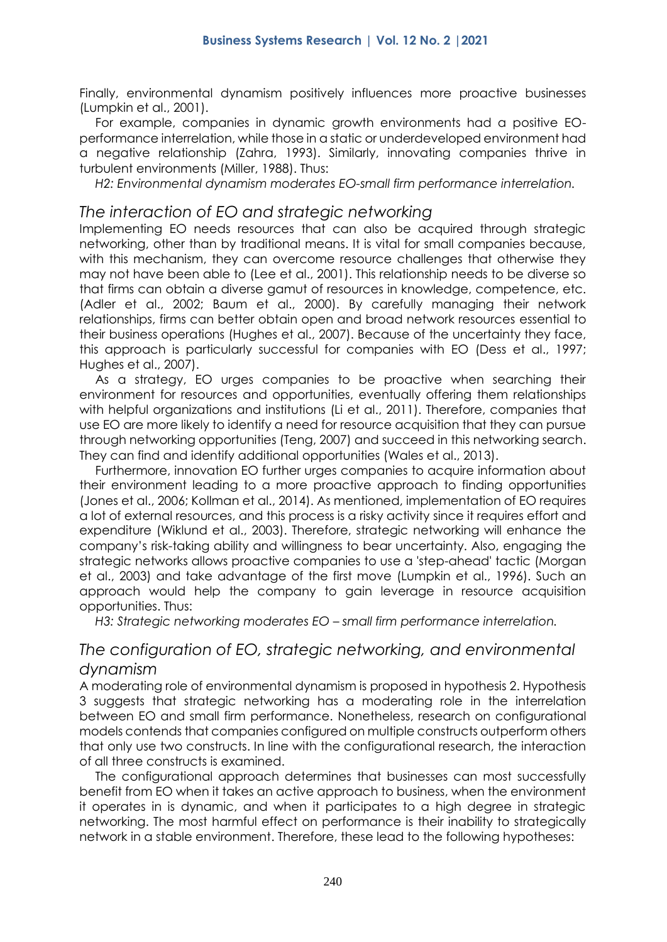Finally, environmental dynamism positively influences more proactive businesses (Lumpkin et al., 2001).

For example, companies in dynamic growth environments had a positive EOperformance interrelation, while those in a static or underdeveloped environment had a negative relationship (Zahra, 1993). Similarly, innovating companies thrive in turbulent environments (Miller, 1988). Thus:

*H2: Environmental dynamism moderates EO-small firm performance interrelation.*

#### *The interaction of EO and strategic networking*

Implementing EO needs resources that can also be acquired through strategic networking, other than by traditional means. It is vital for small companies because, with this mechanism, they can overcome resource challenges that otherwise they may not have been able to (Lee et al., 2001). This relationship needs to be diverse so that firms can obtain a diverse gamut of resources in knowledge, competence, etc. (Adler et al., 2002; Baum et al., 2000). By carefully managing their network relationships, firms can better obtain open and broad network resources essential to their business operations (Hughes et al., 2007). Because of the uncertainty they face, this approach is particularly successful for companies with EO (Dess et al., 1997; Hughes et al., 2007).

As a strategy, EO urges companies to be proactive when searching their environment for resources and opportunities, eventually offering them relationships with helpful organizations and institutions (Li et al., 2011). Therefore, companies that use EO are more likely to identify a need for resource acquisition that they can pursue through networking opportunities (Teng, 2007) and succeed in this networking search. They can find and identify additional opportunities (Wales et al., 2013).

Furthermore, innovation EO further urges companies to acquire information about their environment leading to a more proactive approach to finding opportunities (Jones et al., 2006; Kollman et al., 2014). As mentioned, implementation of EO requires a lot of external resources, and this process is a risky activity since it requires effort and expenditure (Wiklund et al., 2003). Therefore, strategic networking will enhance the company's risk-taking ability and willingness to bear uncertainty. Also, engaging the strategic networks allows proactive companies to use a 'step-ahead' tactic (Morgan et al., 2003) and take advantage of the first move (Lumpkin et al., 1996). Such an approach would help the company to gain leverage in resource acquisition opportunities. Thus:

*H3: Strategic networking moderates EO – small firm performance interrelation.*

## *The configuration of EO, strategic networking, and environmental dynamism*

A moderating role of environmental dynamism is proposed in hypothesis 2. Hypothesis 3 suggests that strategic networking has a moderating role in the interrelation between EO and small firm performance. Nonetheless, research on configurational models contends that companies configured on multiple constructs outperform others that only use two constructs. In line with the configurational research, the interaction of all three constructs is examined.

The configurational approach determines that businesses can most successfully benefit from EO when it takes an active approach to business, when the environment it operates in is dynamic, and when it participates to a high degree in strategic networking. The most harmful effect on performance is their inability to strategically network in a stable environment. Therefore, these lead to the following hypotheses: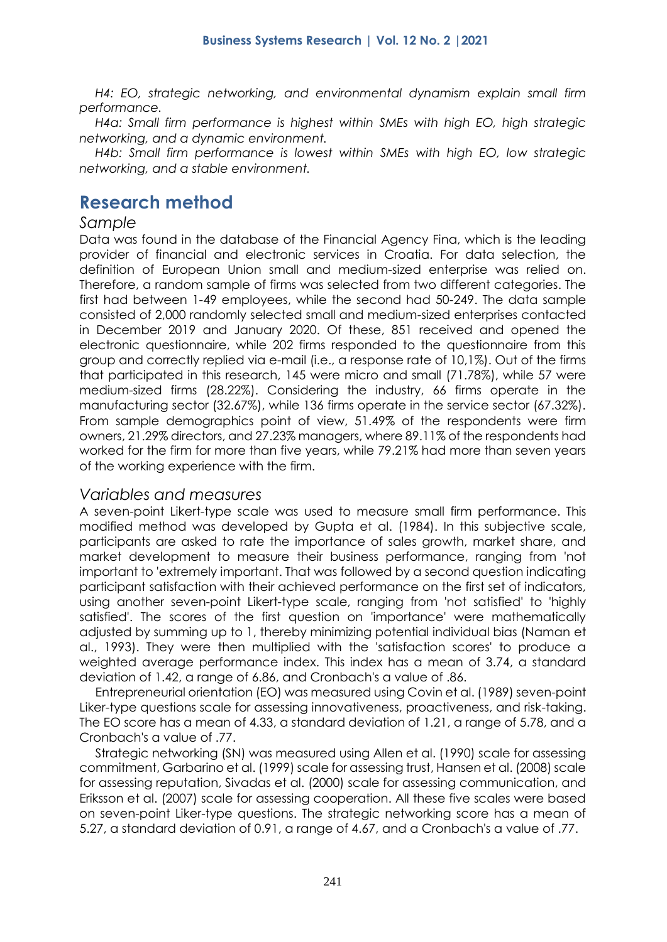*H4: EO, strategic networking, and environmental dynamism explain small firm performance.*

*H4a: Small firm performance is highest within SMEs with high EO, high strategic networking, and a dynamic environment.* 

*H4b: Small firm performance is lowest within SMEs with high EO, low strategic networking, and a stable environment.*

## **Research method**

#### *Sample*

Data was found in the database of the Financial Agency Fina, which is the leading provider of financial and electronic services in Croatia. For data selection, the definition of European Union small and medium-sized enterprise was relied on. Therefore, a random sample of firms was selected from two different categories. The first had between 1-49 employees, while the second had 50-249. The data sample consisted of 2,000 randomly selected small and medium-sized enterprises contacted in December 2019 and January 2020. Of these, 851 received and opened the electronic questionnaire, while 202 firms responded to the questionnaire from this group and correctly replied via e-mail (i.e., a response rate of 10,1%). Out of the firms that participated in this research, 145 were micro and small (71.78%), while 57 were medium-sized firms (28.22%). Considering the industry, 66 firms operate in the manufacturing sector (32.67%), while 136 firms operate in the service sector (67.32%). From sample demographics point of view, 51.49% of the respondents were firm owners, 21.29% directors, and 27.23% managers, where 89.11% of the respondents had worked for the firm for more than five years, while 79.21% had more than seven years of the working experience with the firm.

#### *Variables and measures*

A seven-point Likert-type scale was used to measure small firm performance. This modified method was developed by Gupta et al. (1984). In this subjective scale, participants are asked to rate the importance of sales growth, market share, and market development to measure their business performance, ranging from 'not important to 'extremely important. That was followed by a second question indicating participant satisfaction with their achieved performance on the first set of indicators, using another seven-point Likert-type scale, ranging from 'not satisfied' to 'highly satisfied'. The scores of the first question on 'importance' were mathematically adjusted by summing up to 1, thereby minimizing potential individual bias (Naman et al., 1993). They were then multiplied with the 'satisfaction scores' to produce a weighted average performance index. This index has a mean of 3.74, a standard deviation of 1.42, a range of 6.86, and Cronbach's α value of .86.

Entrepreneurial orientation (EO) was measured using Covin et al. (1989) seven-point Liker-type questions scale for assessing innovativeness, proactiveness, and risk-taking. The EO score has a mean of 4.33, a standard deviation of 1.21, a range of 5.78, and a Cronbach's α value of .77.

Strategic networking (SN) was measured using Allen et al. (1990) scale for assessing commitment, Garbarino et al. (1999) scale for assessing trust, Hansen et al. (2008) scale for assessing reputation, Sivadas et al. (2000) scale for assessing communication, and Eriksson et al. (2007) scale for assessing cooperation. All these five scales were based on seven-point Liker-type questions. The strategic networking score has a mean of 5.27, a standard deviation of 0.91, a range of 4.67, and a Cronbach's α value of .77.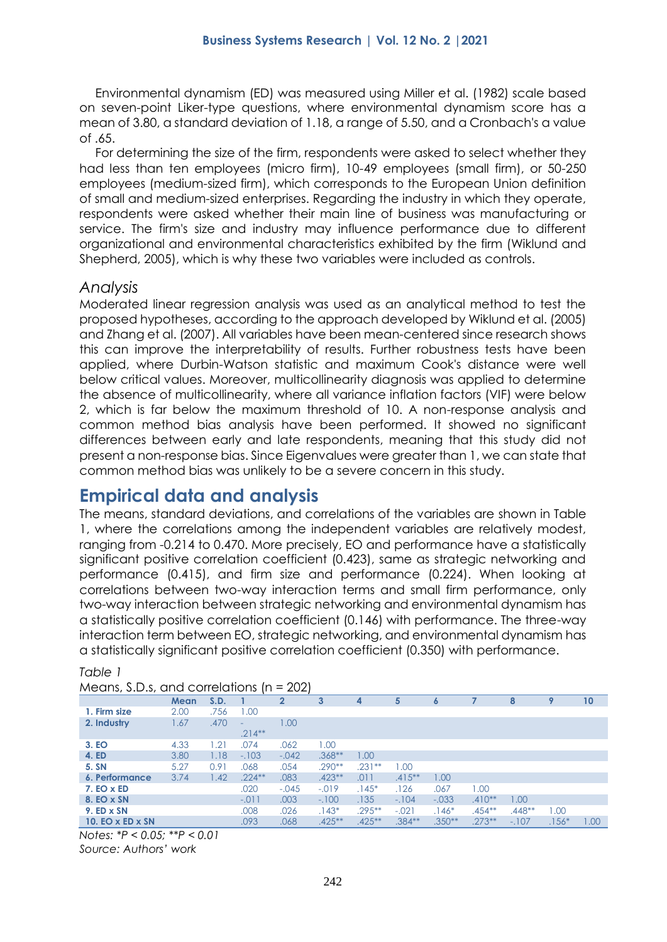Environmental dynamism (ED) was measured using Miller et al. (1982) scale based on seven-point Liker-type questions, where environmental dynamism score has a mean of 3.80, a standard deviation of 1.18, a range of 5.50, and a Cronbach's α value of .65.

For determining the size of the firm, respondents were asked to select whether they had less than ten employees (micro firm), 10-49 employees (small firm), or 50-250 employees (medium-sized firm), which corresponds to the European Union definition of small and medium-sized enterprises. Regarding the industry in which they operate, respondents were asked whether their main line of business was manufacturing or service. The firm's size and industry may influence performance due to different organizational and environmental characteristics exhibited by the firm (Wiklund and Shepherd, 2005), which is why these two variables were included as controls.

#### *Analysis*

Moderated linear regression analysis was used as an analytical method to test the proposed hypotheses, according to the approach developed by Wiklund et al. (2005) and Zhang et al. (2007). All variables have been mean-centered since research shows this can improve the interpretability of results. Further robustness tests have been applied, where Durbin-Watson statistic and maximum Cook's distance were well below critical values. Moreover, multicollinearity diagnosis was applied to determine the absence of multicollinearity, where all variance inflation factors (VIF) were below 2, which is far below the maximum threshold of 10. A non-response analysis and common method bias analysis have been performed. It showed no significant differences between early and late respondents, meaning that this study did not present a non-response bias. Since Eigenvalues were greater than 1, we can state that common method bias was unlikely to be a severe concern in this study.

## **Empirical data and analysis**

The means, standard deviations, and correlations of the variables are shown in Table 1, where the correlations among the independent variables are relatively modest, ranging from -0.214 to 0.470. More precisely, EO and performance have a statistically significant positive correlation coefficient (0.423), same as strategic networking and performance (0.415), and firm size and performance (0.224). When looking at correlations between two-way interaction terms and small firm performance, only two-way interaction between strategic networking and environmental dynamism has a statistically positive correlation coefficient (0.146) with performance. The three-way interaction term between EO, strategic networking, and environmental dynamism has a statistically significant positive correlation coefficient (0.350) with performance.

| Means, S.D.s, and correlations ( $n = 202$ ) |      |      |                          |              |           |           |           |          |           |          |         |      |
|----------------------------------------------|------|------|--------------------------|--------------|-----------|-----------|-----------|----------|-----------|----------|---------|------|
|                                              | Mean | S.D. |                          | $\mathbf{2}$ | 3         | 4         | 5         | 6        |           | 8        | 9       | 10   |
| 1. Firm size                                 | 2.00 | .756 | 1.00                     |              |           |           |           |          |           |          |         |      |
| 2. Industry                                  | 1.67 | .470 | $\overline{\phantom{0}}$ | 1.00         |           |           |           |          |           |          |         |      |
|                                              |      |      | $.214**$                 |              |           |           |           |          |           |          |         |      |
| 3. EO                                        | 4.33 | 1.21 | .074                     | .062         | 1.00      |           |           |          |           |          |         |      |
| 4. ED                                        | 3.80 | 1.18 | $-.103$                  | $-.042$      | $.368**$  | 1.00      |           |          |           |          |         |      |
| 5. SN                                        | 5.27 | 0.91 | .068                     | .054         | $.290**$  | $.231**$  | 1.00      |          |           |          |         |      |
| 6. Performance                               | 3.74 | 1.42 | $.224**$                 | .083         | $.423**$  | .011      | $.415***$ | 00.1     |           |          |         |      |
| $7. EO \times ED$                            |      |      | .020                     | $-.045$      | $-.019$   | $.145*$   | .126      | .067     | 1.00      |          |         |      |
| 8. EO x SN                                   |      |      | $-.011$                  | .003         | $-.100$   | .135      | $-.104$   | $-.033$  | $.410**$  | 1.00     |         |      |
| 9. ED x SN                                   |      |      | .008                     | .026         | $.143*$   | $.295***$ | $-.021$   | $.146*$  | $.454***$ | $.448**$ | 1.00    |      |
| 10. EO $\times$ ED $\times$ SN               |      |      | .093                     | .068         | $.425***$ | $.425***$ | $.384**$  | $.350**$ | $.273**$  | $-.107$  | $.156*$ | 1.00 |

#### *Table 1*

*Notes: \*P < 0.05; \*\*P < 0.01 Source: Authors' work*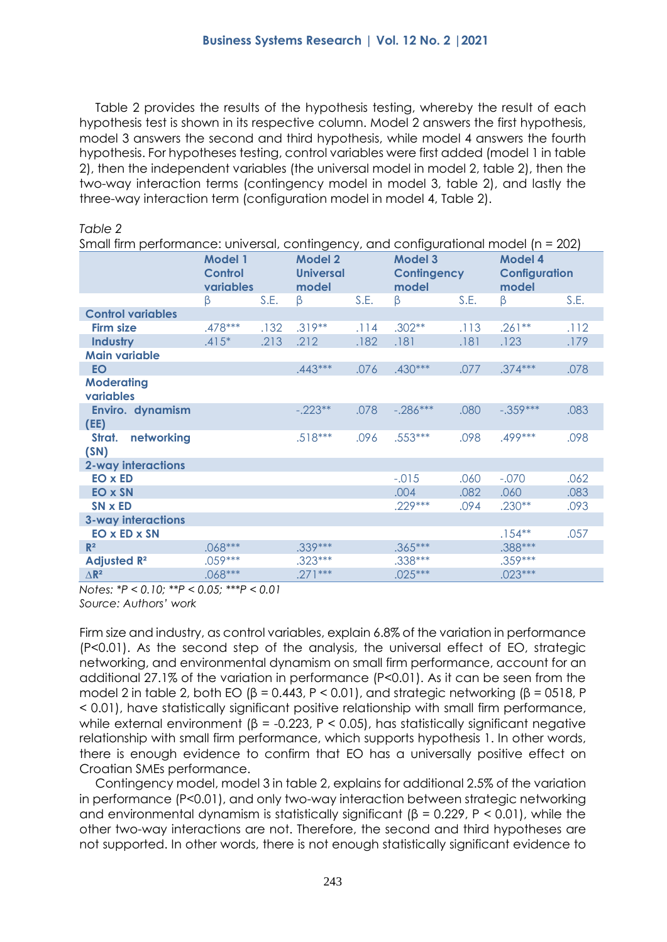Table 2 provides the results of the hypothesis testing, whereby the result of each hypothesis test is shown in its respective column. Model 2 answers the first hypothesis, model 3 answers the second and third hypothesis, while model 4 answers the fourth hypothesis. For hypotheses testing, control variables were first added (model 1 in table 2), then the independent variables (the universal model in model 2, table 2), then the two-way interaction terms (contingency model in model 3, table 2), and lastly the three-way interaction term (configuration model in model 4, Table 2).

| Small firm performance: universal, contingency, and configurational model (n = 202) |                                               |      |                                             |      |                                               |      |                                                 |      |  |  |
|-------------------------------------------------------------------------------------|-----------------------------------------------|------|---------------------------------------------|------|-----------------------------------------------|------|-------------------------------------------------|------|--|--|
|                                                                                     | <b>Model 1</b><br><b>Control</b><br>variables |      | <b>Model 2</b><br><b>Universal</b><br>model |      | <b>Model 3</b><br><b>Contingency</b><br>model |      | <b>Model 4</b><br><b>Configuration</b><br>model |      |  |  |
|                                                                                     | β                                             | S.E. | β                                           | S.E. | β                                             | S.E. | $\beta$                                         | S.E. |  |  |
| <b>Control variables</b>                                                            |                                               |      |                                             |      |                                               |      |                                                 |      |  |  |
| <b>Firm size</b>                                                                    | .478***                                       | .132 | $.319***$                                   | .114 | $.302**$                                      | .113 | $.261**$                                        | .112 |  |  |
| <b>Industry</b>                                                                     | $.415*$                                       | .213 | .212                                        | .182 | .181                                          | .181 | .123                                            | .179 |  |  |
| <b>Main variable</b>                                                                |                                               |      |                                             |      |                                               |      |                                                 |      |  |  |
| <b>EO</b>                                                                           |                                               |      | $.443***$                                   | .076 | .430***                                       | .077 | $.374***$                                       | .078 |  |  |
| <b>Moderating</b><br>variables                                                      |                                               |      |                                             |      |                                               |      |                                                 |      |  |  |
| Enviro. dynamism<br>(EE)                                                            |                                               |      | $-.223**$                                   | .078 | $-.286***$                                    | .080 | $-.359***$                                      | .083 |  |  |
| networking<br>Strat.<br>(SN)                                                        |                                               |      | $.518***$                                   | .096 | .553***                                       | .098 | .499 ***                                        | .098 |  |  |
| <b>2-way interactions</b>                                                           |                                               |      |                                             |      |                                               |      |                                                 |      |  |  |
| <b>EO</b> x <b>ED</b>                                                               |                                               |      |                                             |      | $-.015$                                       | .060 | $-.070$                                         | .062 |  |  |
| EO x SN                                                                             |                                               |      |                                             |      | .004                                          | .082 | .060                                            | .083 |  |  |
| SN x ED                                                                             |                                               |      |                                             |      | $.229***$                                     | .094 | $.230**$                                        | .093 |  |  |
| <b>3-way interactions</b>                                                           |                                               |      |                                             |      |                                               |      |                                                 |      |  |  |
| <b>EO x ED x SN</b>                                                                 |                                               |      |                                             |      |                                               |      | $.154***$                                       | .057 |  |  |
| R <sup>2</sup>                                                                      | .068***                                       |      | .339***                                     |      | $.365***$                                     |      | .388***                                         |      |  |  |
| <b>Adjusted R<sup>2</sup></b>                                                       | .059***                                       |      | $.323***$                                   |      | .338***                                       |      | $.359***$                                       |      |  |  |
| $\triangle R^2$                                                                     | .068***                                       |      | $.271***$                                   |      | $.025***$                                     |      | $.023***$                                       |      |  |  |

*Table 2*

*Notes: \*P < 0.10; \*\*P < 0.05; \*\*\*P < 0.01 Source: Authors' work*

Firm size and industry, as control variables, explain 6.8% of the variation in performance (P<0.01). As the second step of the analysis, the universal effect of EO, strategic networking, and environmental dynamism on small firm performance, account for an additional 27.1% of the variation in performance (P<0.01). As it can be seen from the model 2 in table 2, both EO (β = 0.443, P < 0.01), and strategic networking (β = 0518, P < 0.01), have statistically significant positive relationship with small firm performance, while external environment ( $\beta$  = -0.223, P < 0.05), has statistically significant negative relationship with small firm performance, which supports hypothesis 1. In other words, there is enough evidence to confirm that EO has a universally positive effect on Croatian SMEs performance.

Contingency model, model 3 in table 2, explains for additional 2.5% of the variation in performance (P<0.01), and only two-way interaction between strategic networking and environmental dynamism is statistically significant ( $\beta$  = 0.229, P < 0.01), while the other two-way interactions are not. Therefore, the second and third hypotheses are not supported. In other words, there is not enough statistically significant evidence to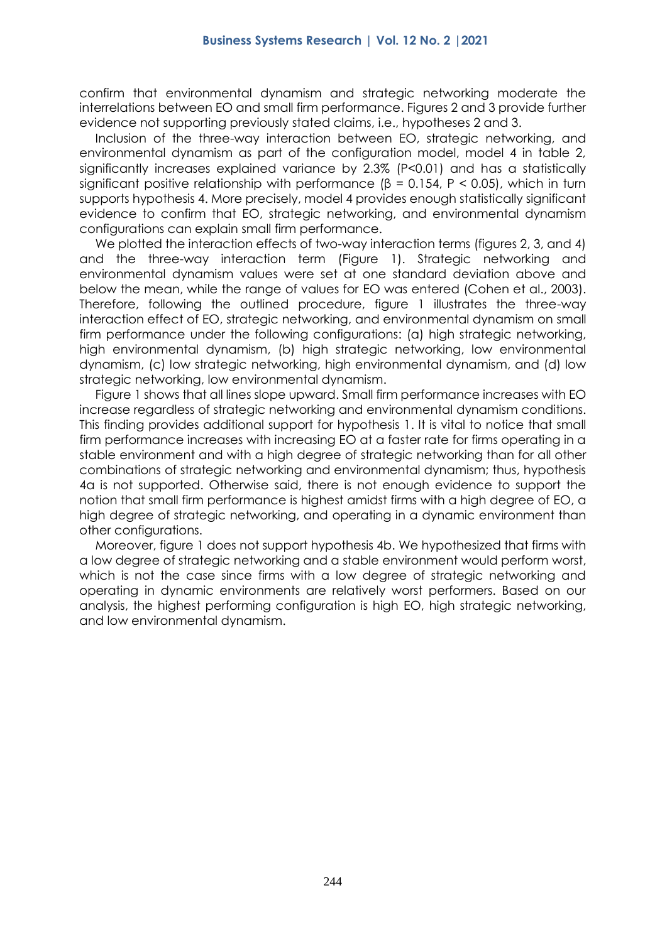confirm that environmental dynamism and strategic networking moderate the interrelations between EO and small firm performance. Figures 2 and 3 provide further evidence not supporting previously stated claims, i.e., hypotheses 2 and 3.

Inclusion of the three-way interaction between EO, strategic networking, and environmental dynamism as part of the configuration model, model 4 in table 2, significantly increases explained variance by 2.3% (P<0.01) and has a statistically significant positive relationship with performance ( $\beta$  = 0.154, P < 0.05), which in turn supports hypothesis 4. More precisely, model 4 provides enough statistically significant evidence to confirm that EO, strategic networking, and environmental dynamism configurations can explain small firm performance.

We plotted the interaction effects of two-way interaction terms (figures 2, 3, and 4) and the three-way interaction term (Figure 1). Strategic networking and environmental dynamism values were set at one standard deviation above and below the mean, while the range of values for EO was entered (Cohen et al., 2003). Therefore, following the outlined procedure, figure 1 illustrates the three-way interaction effect of EO, strategic networking, and environmental dynamism on small firm performance under the following configurations: (a) high strategic networking, high environmental dynamism, (b) high strategic networking, low environmental dynamism, (c) low strategic networking, high environmental dynamism, and (d) low strategic networking, low environmental dynamism.

Figure 1 shows that all lines slope upward. Small firm performance increases with EO increase regardless of strategic networking and environmental dynamism conditions. This finding provides additional support for hypothesis 1. It is vital to notice that small firm performance increases with increasing EO at a faster rate for firms operating in a stable environment and with a high degree of strategic networking than for all other combinations of strategic networking and environmental dynamism; thus, hypothesis 4a is not supported. Otherwise said, there is not enough evidence to support the notion that small firm performance is highest amidst firms with a high degree of EO, a high degree of strategic networking, and operating in a dynamic environment than other configurations.

Moreover, figure 1 does not support hypothesis 4b. We hypothesized that firms with a low degree of strategic networking and a stable environment would perform worst, which is not the case since firms with a low degree of strategic networking and operating in dynamic environments are relatively worst performers. Based on our analysis, the highest performing configuration is high EO, high strategic networking, and low environmental dynamism.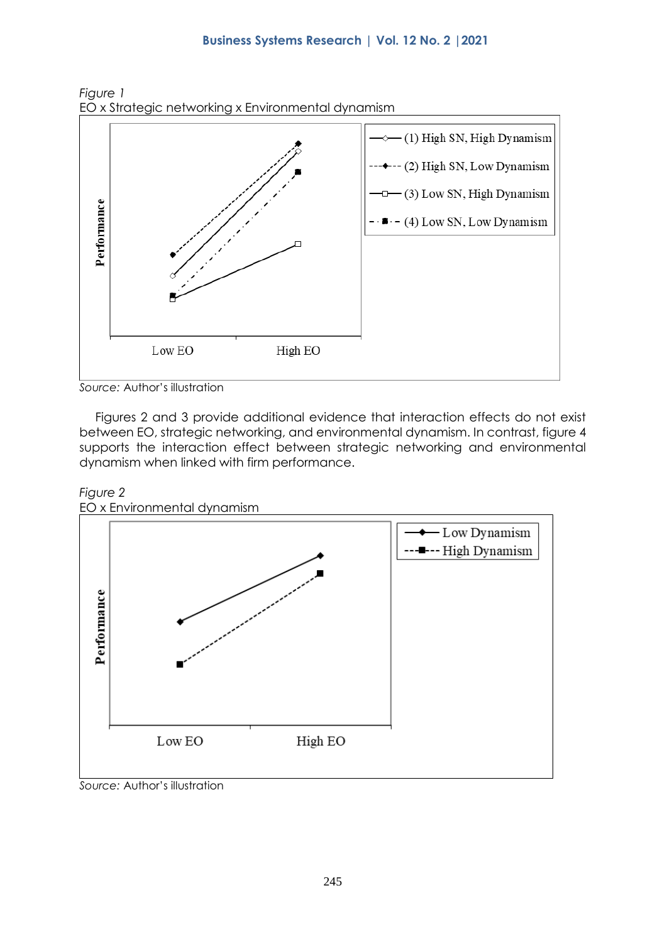

*Figure 1* EO x Strategic networking x Environmental dynamism

*Source:* Author's illustration

Figures 2 and 3 provide additional evidence that interaction effects do not exist between EO, strategic networking, and environmental dynamism. In contrast, figure 4 supports the interaction effect between strategic networking and environmental dynamism when linked with firm performance.





EO x Environmental dynamism

*Source:* Author's illustration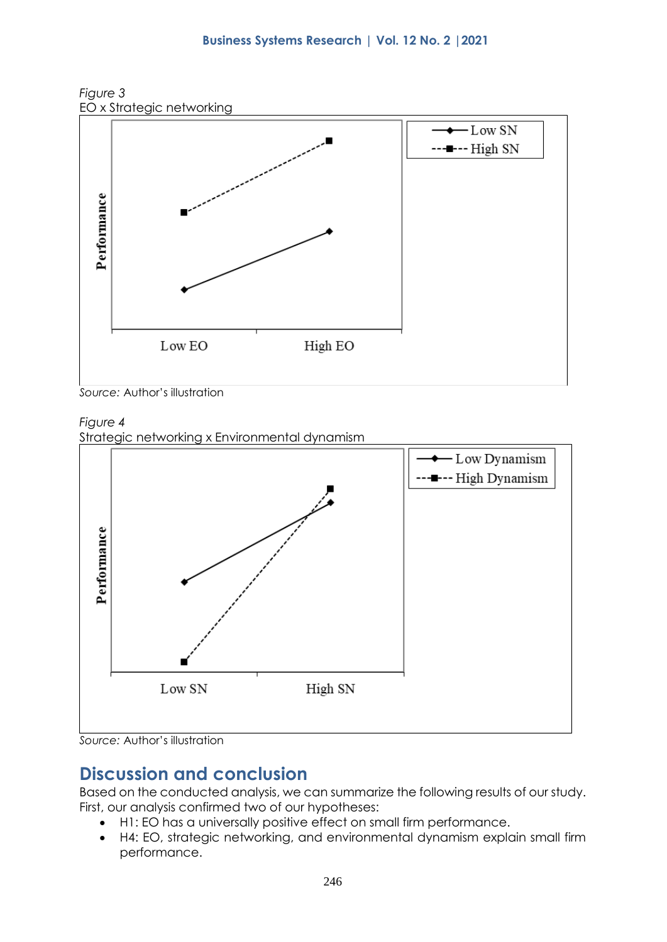

*Figure 3*

*Source:* Author's illustration

#### *Figure 4*

Strategic networking x Environmental dynamism



#### *Source:* Author's illustration

## **Discussion and conclusion**

Based on the conducted analysis, we can summarize the following results of our study. First, our analysis confirmed two of our hypotheses:

- H1: EO has a universally positive effect on small firm performance.
- H4: EO, strategic networking, and environmental dynamism explain small firm performance.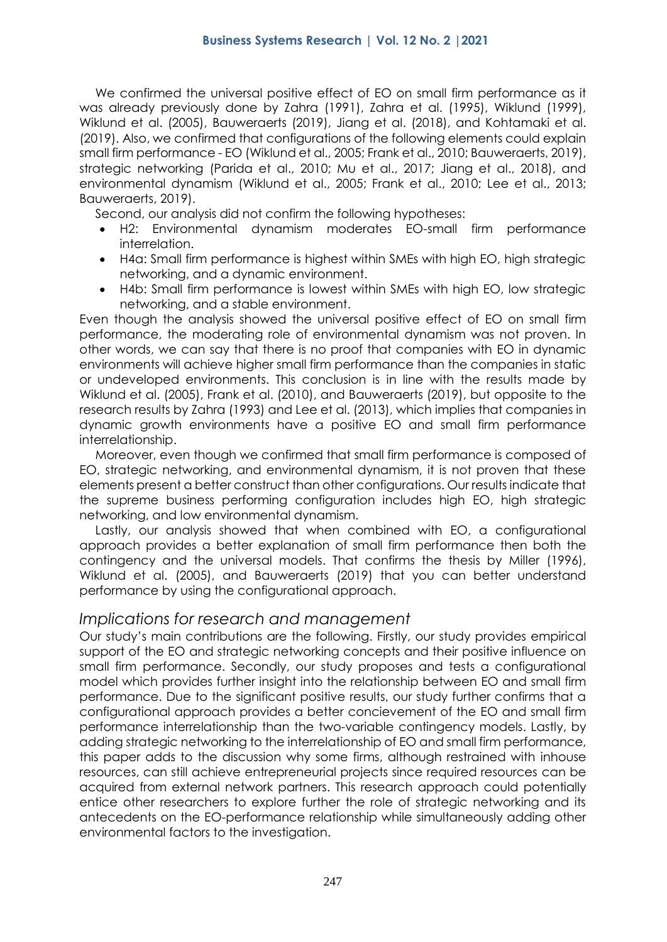We confirmed the universal positive effect of EO on small firm performance as it was already previously done by Zahra (1991), Zahra et al. (1995), Wiklund (1999), Wiklund et al. (2005), Bauweraerts (2019), Jiang et al. (2018), and Kohtamaki et al. (2019). Also, we confirmed that configurations of the following elements could explain small firm performance - EO (Wiklund et al., 2005; Frank et al., 2010; Bauweraerts, 2019), strategic networking (Parida et al., 2010; Mu et al., 2017; Jiang et al., 2018), and environmental dynamism (Wiklund et al., 2005; Frank et al., 2010; Lee et al., 2013; Bauweraerts, 2019).

Second, our analysis did not confirm the following hypotheses:

- H2: Environmental dynamism moderates EO-small firm performance interrelation.
- H4a: Small firm performance is highest within SMEs with high EO, high strategic networking, and a dynamic environment.
- H4b: Small firm performance is lowest within SMEs with high EO, low strategic networking, and a stable environment.

Even though the analysis showed the universal positive effect of EO on small firm performance, the moderating role of environmental dynamism was not proven. In other words, we can say that there is no proof that companies with EO in dynamic environments will achieve higher small firm performance than the companies in static or undeveloped environments. This conclusion is in line with the results made by Wiklund et al. (2005), Frank et al. (2010), and Bauweraerts (2019), but opposite to the research results by Zahra (1993) and Lee et al. (2013), which implies that companies in dynamic growth environments have a positive EO and small firm performance interrelationship.

Moreover, even though we confirmed that small firm performance is composed of EO, strategic networking, and environmental dynamism, it is not proven that these elements present a better construct than other configurations. Our results indicate that the supreme business performing configuration includes high EO, high strategic networking, and low environmental dynamism.

Lastly, our analysis showed that when combined with EO, a configurational approach provides a better explanation of small firm performance then both the contingency and the universal models. That confirms the thesis by Miller (1996), Wiklund et al. (2005), and Bauweraerts (2019) that you can better understand performance by using the configurational approach.

#### *Implications for research and management*

Our study's main contributions are the following. Firstly, our study provides empirical support of the EO and strategic networking concepts and their positive influence on small firm performance. Secondly, our study proposes and tests a configurational model which provides further insight into the relationship between EO and small firm performance. Due to the significant positive results, our study further confirms that a configurational approach provides a better concievement of the EO and small firm performance interrelationship than the two-variable contingency models. Lastly, by adding strategic networking to the interrelationship of EO and small firm performance, this paper adds to the discussion why some firms, although restrained with inhouse resources, can still achieve entrepreneurial projects since required resources can be acquired from external network partners. This research approach could potentially entice other researchers to explore further the role of strategic networking and its antecedents on the EO-performance relationship while simultaneously adding other environmental factors to the investigation.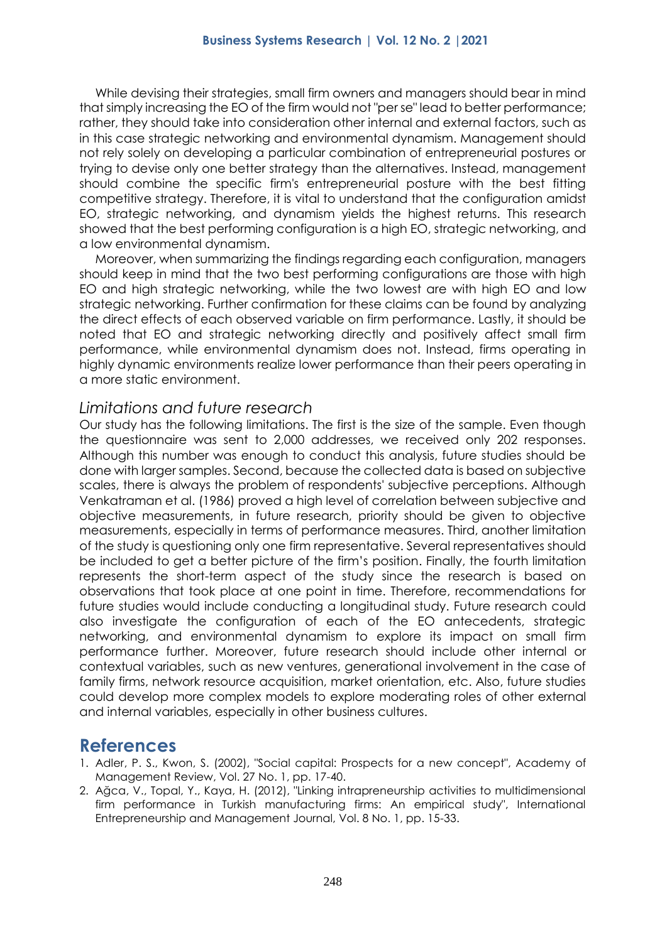While devising their strategies, small firm owners and managers should bear in mind that simply increasing the EO of the firm would not "per se" lead to better performance; rather, they should take into consideration other internal and external factors, such as in this case strategic networking and environmental dynamism. Management should not rely solely on developing a particular combination of entrepreneurial postures or trying to devise only one better strategy than the alternatives. Instead, management should combine the specific firm's entrepreneurial posture with the best fitting competitive strategy. Therefore, it is vital to understand that the configuration amidst EO, strategic networking, and dynamism yields the highest returns. This research showed that the best performing configuration is a high EO, strategic networking, and a low environmental dynamism.

Moreover, when summarizing the findings regarding each configuration, managers should keep in mind that the two best performing configurations are those with high EO and high strategic networking, while the two lowest are with high EO and low strategic networking. Further confirmation for these claims can be found by analyzing the direct effects of each observed variable on firm performance. Lastly, it should be noted that EO and strategic networking directly and positively affect small firm performance, while environmental dynamism does not. Instead, firms operating in highly dynamic environments realize lower performance than their peers operating in a more static environment.

#### *Limitations and future research*

Our study has the following limitations. The first is the size of the sample. Even though the questionnaire was sent to 2,000 addresses, we received only 202 responses. Although this number was enough to conduct this analysis, future studies should be done with larger samples. Second, because the collected data is based on subjective scales, there is always the problem of respondents' subjective perceptions. Although Venkatraman et al. (1986) proved a high level of correlation between subjective and objective measurements, in future research, priority should be given to objective measurements, especially in terms of performance measures. Third, another limitation of the study is questioning only one firm representative. Several representatives should be included to get a better picture of the firm's position. Finally, the fourth limitation represents the short-term aspect of the study since the research is based on observations that took place at one point in time. Therefore, recommendations for future studies would include conducting a longitudinal study. Future research could also investigate the configuration of each of the EO antecedents, strategic networking, and environmental dynamism to explore its impact on small firm performance further. Moreover, future research should include other internal or contextual variables, such as new ventures, generational involvement in the case of family firms, network resource acquisition, market orientation, etc. Also, future studies could develop more complex models to explore moderating roles of other external and internal variables, especially in other business cultures.

### **References**

- 1. Adler, P. S., Kwon, S. (2002), "Social capital: Prospects for a new concept", Academy of Management Review, Vol. 27 No. 1, pp. 17-40.
- 2. Ağca, V., Topal, Y., Kaya, H. (2012), "Linking intrapreneurship activities to multidimensional firm performance in Turkish manufacturing firms: An empirical study", International Entrepreneurship and Management Journal, Vol. 8 No. 1, pp. 15-33.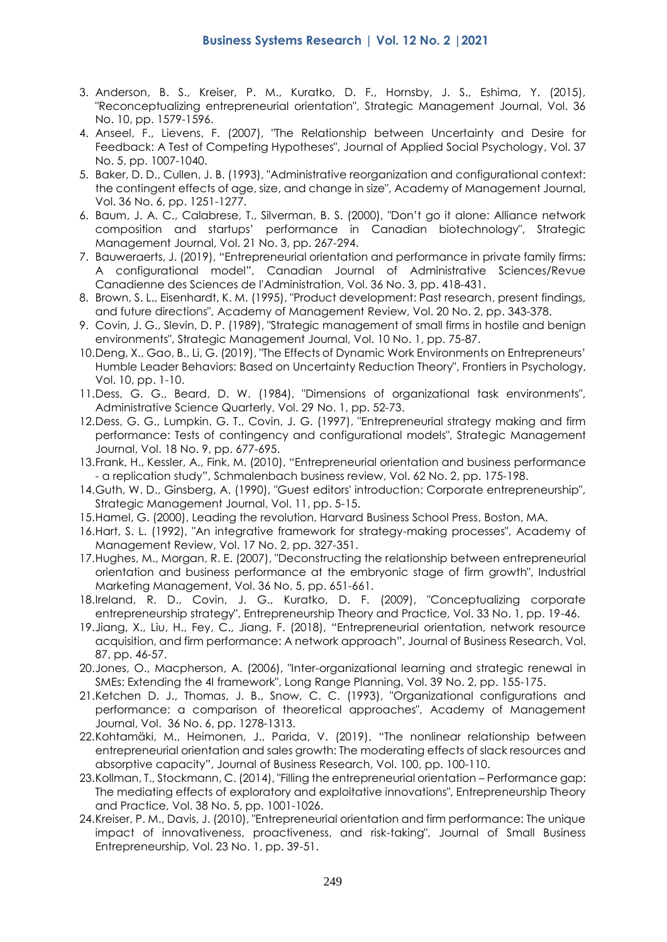- 3. Anderson, B. S., Kreiser, P. M., Kuratko, D. F., Hornsby, J. S., Eshima, Y. (2015), "Reconceptualizing entrepreneurial orientation", Strategic Management Journal, Vol. 36 No. 10, pp. 1579-1596.
- 4. Anseel, F., Lievens, F. (2007), "The Relationship between Uncertainty and Desire for Feedback: A Test of Competing Hypotheses", Journal of Applied Social Psychology, Vol. 37 No. 5, pp. 1007-1040.
- 5. Baker, D. D., Cullen, J. B. (1993), "Administrative reorganization and configurational context: the contingent effects of age, size, and change in size", Academy of Management Journal, Vol. 36 No. 6, pp. 1251-1277.
- 6. Baum, J. A. C., Calabrese, T., Silverman, B. S. (2000), "Don't go it alone: Alliance network composition and startups' performance in Canadian biotechnology", Strategic Management Journal, Vol. 21 No. 3, pp. 267-294.
- 7. Bauweraerts, J. (2019), "Entrepreneurial orientation and performance in private family firms: A configurational model", Canadian Journal of Administrative Sciences/Revue Canadienne des Sciences de l'Administration, Vol. 36 No. 3, pp. 418-431.
- 8. Brown, S. L., Eisenhardt, K. M. (1995), "Product development: Past research, present findings, and future directions", Academy of Management Review, Vol. 20 No. 2, pp. 343-378.
- 9. Covin, J. G., Slevin, D. P. (1989), "Strategic management of small firms in hostile and benign environments", Strategic Management Journal, Vol. 10 No. 1, pp. 75-87.
- 10.Deng, X., Gao, B., Li, G. (2019), "The Effects of Dynamic Work Environments on Entrepreneurs' Humble Leader Behaviors: Based on Uncertainty Reduction Theory", Frontiers in Psychology, Vol. 10, pp. 1-10.
- 11.Dess, G. G., Beard, D. W. (1984), "Dimensions of organizational task environments", Administrative Science Quarterly, Vol. 29 No. 1, pp. 52-73.
- 12.Dess, G. G., Lumpkin, G. T., Covin, J. G. (1997), "Entrepreneurial strategy making and firm performance: Tests of contingency and configurational models", Strategic Management Journal, Vol. 18 No. 9, pp. 677-695.
- 13.Frank, H., Kessler, A., Fink, M. (2010), "Entrepreneurial orientation and business performance - a replication study", Schmalenbach business review, Vol. 62 No. 2, pp. 175-198.
- 14.Guth, W. D., Ginsberg, A. (1990), "Guest editors' introduction: Corporate entrepreneurship", Strategic Management Journal, Vol. 11, pp. 5-15.
- 15.Hamel, G. (2000), Leading the revolution, Harvard Business School Press, Boston, MA.
- 16.Hart, S. L. (1992), "An integrative framework for strategy-making processes", Academy of Management Review, Vol. 17 No. 2, pp. 327-351.
- 17.Hughes, M., Morgan, R. E. (2007), "Deconstructing the relationship between entrepreneurial orientation and business performance at the embryonic stage of firm growth", Industrial Marketing Management, Vol. 36 No. 5, pp. 651-661.
- 18.Ireland, R. D., Covin, J. G., Kuratko, D. F. (2009), "Conceptualizing corporate entrepreneurship strategy", Entrepreneurship Theory and Practice, Vol. 33 No. 1, pp. 19-46.
- 19.Jiang, X., Liu, H., Fey, C., Jiang, F. (2018), "Entrepreneurial orientation, network resource acquisition, and firm performance: A network approach", Journal of Business Research, Vol. 87, pp. 46-57.
- 20.Jones, O., Macpherson, A. (2006), "Inter-organizational learning and strategic renewal in SMEs: Extending the 4I framework", Long Range Planning, Vol. 39 No. 2, pp. 155-175.
- 21.Ketchen D. J., Thomas, J. B., Snow, C. C. (1993), "Organizational configurations and performance: a comparison of theoretical approaches", Academy of Management Journal, Vol. 36 No. 6, pp. 1278-1313.
- 22.Kohtamäki, M., Heimonen, J., Parida, V. (2019), "The nonlinear relationship between entrepreneurial orientation and sales growth: The moderating effects of slack resources and absorptive capacity", Journal of Business Research, Vol. 100, pp. 100-110.
- 23.Kollman, T., Stockmann, C. (2014), "Filling the entrepreneurial orientation Performance gap: The mediating effects of exploratory and exploitative innovations", Entrepreneurship Theory and Practice, Vol. 38 No. 5, pp. 1001-1026.
- 24.Kreiser, P. M., Davis, J. (2010), "Entrepreneurial orientation and firm performance: The unique impact of innovativeness, proactiveness, and risk-taking", Journal of Small Business Entrepreneurship, Vol. 23 No. 1, pp. 39-51.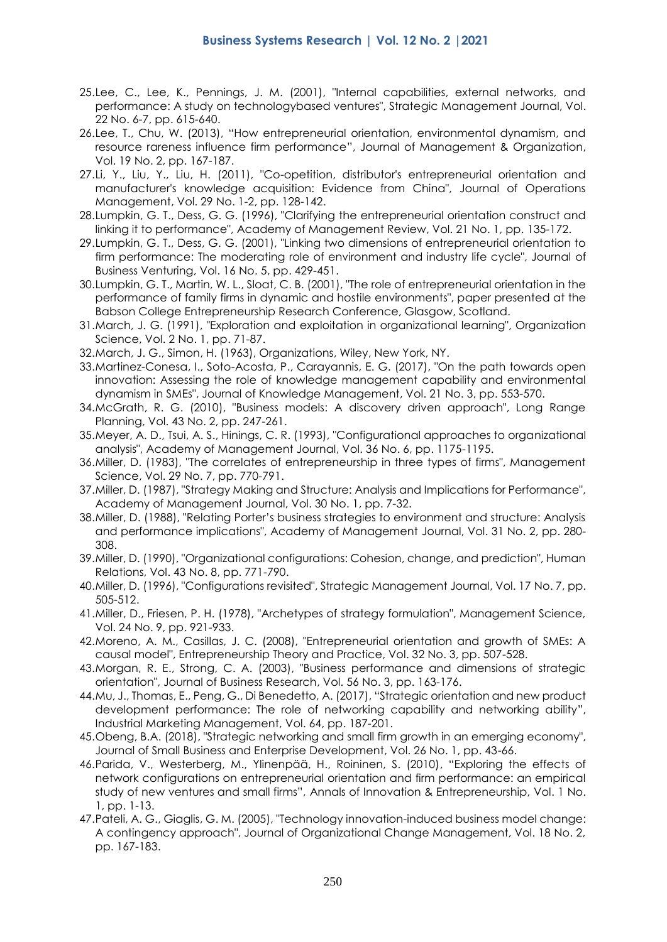- 25.Lee, C., Lee, K., Pennings, J. M. (2001), "Internal capabilities, external networks, and performance: A study on technologybased ventures", Strategic Management Journal, Vol. 22 No. 6-7, pp. 615-640.
- 26.Lee, T., Chu, W. (2013), "How entrepreneurial orientation, environmental dynamism, and resource rareness influence firm performance", Journal of Management & Organization, Vol. 19 No. 2, pp. 167-187.
- 27.Li, Y., Liu, Y., Liu, H. (2011), "Co-opetition, distributor's entrepreneurial orientation and manufacturer's knowledge acquisition: Evidence from China", Journal of Operations Management, Vol. 29 No. 1-2, pp. 128-142.
- 28.Lumpkin, G. T., Dess, G. G. (1996), "Clarifying the entrepreneurial orientation construct and linking it to performance", Academy of Management Review, Vol. 21 No. 1, pp. 135-172.
- 29.Lumpkin, G. T., Dess, G. G. (2001), "Linking two dimensions of entrepreneurial orientation to firm performance: The moderating role of environment and industry life cycle", Journal of Business Venturing, Vol. 16 No. 5, pp. 429-451.
- 30.Lumpkin, G. T., Martin, W. L., Sloat, C. B. (2001), "The role of entrepreneurial orientation in the performance of family firms in dynamic and hostile environments", paper presented at the Babson College Entrepreneurship Research Conference, Glasgow, Scotland.
- 31.March, J. G. (1991), "Exploration and exploitation in organizational learning", Organization Science, Vol. 2 No. 1, pp. 71-87.
- 32.March, J. G., Simon, H. (1963), Organizations, Wiley, New York, NY.
- 33.Martinez-Conesa, I., Soto-Acosta, P., Carayannis, E. G. (2017), "On the path towards open innovation: Assessing the role of knowledge management capability and environmental dynamism in SMEs", Journal of Knowledge Management, Vol. 21 No. 3, pp. 553-570.
- 34.McGrath, R. G. (2010), "Business models: A discovery driven approach", Long Range Planning, Vol. 43 No. 2, pp. 247-261.
- 35.Meyer, A. D., Tsui, A. S., Hinings, C. R. (1993), "Configurational approaches to organizational analysis", Academy of Management Journal, Vol. 36 No. 6, pp. 1175-1195.
- 36.Miller, D. (1983), "The correlates of entrepreneurship in three types of firms", Management Science, Vol. 29 No. 7, pp. 770-791.
- 37.Miller, D. (1987), "Strategy Making and Structure: Analysis and Implications for Performance", Academy of Management Journal, Vol. 30 No. 1, pp. 7-32.
- 38.Miller, D. (1988), "Relating Porter's business strategies to environment and structure: Analysis and performance implications", Academy of Management Journal, Vol. 31 No. 2, pp. 280- 308.
- 39.Miller, D. (1990), "Organizational configurations: Cohesion, change, and prediction", Human Relations, Vol. 43 No. 8, pp. 771-790.
- 40.Miller, D. (1996), "Configurations revisited", Strategic Management Journal, Vol. 17 No. 7, pp. 505-512.
- 41.Miller, D., Friesen, P. H. (1978), "Archetypes of strategy formulation", Management Science, Vol. 24 No. 9, pp. 921-933.
- 42.Moreno, A. M., Casillas, J. C. (2008), "Entrepreneurial orientation and growth of SMEs: A causal model", Entrepreneurship Theory and Practice, Vol. 32 No. 3, pp. 507-528.
- 43.Morgan, R. E., Strong, C. A. (2003), "Business performance and dimensions of strategic orientation", Journal of Business Research, Vol. 56 No. 3, pp. 163-176.
- 44.Mu, J., Thomas, E., Peng, G., Di Benedetto, A. (2017), "Strategic orientation and new product development performance: The role of networking capability and networking ability", Industrial Marketing Management, Vol. 64, pp. 187-201.
- 45.Obeng, B.A. (2018), "Strategic networking and small firm growth in an emerging economy", Journal of Small Business and Enterprise Development, Vol. 26 No. 1, pp. 43-66.
- 46.Parida, V., Westerberg, M., Ylinenpää, H., Roininen, S. (2010), "Exploring the effects of network configurations on entrepreneurial orientation and firm performance: an empirical study of new ventures and small firms", Annals of Innovation & Entrepreneurship, Vol. 1 No. 1, pp. 1-13.
- 47.Pateli, A. G., Giaglis, G. M. (2005), "Technology innovation-induced business model change: A contingency approach", Journal of Organizational Change Management, Vol. 18 No. 2, pp. 167-183.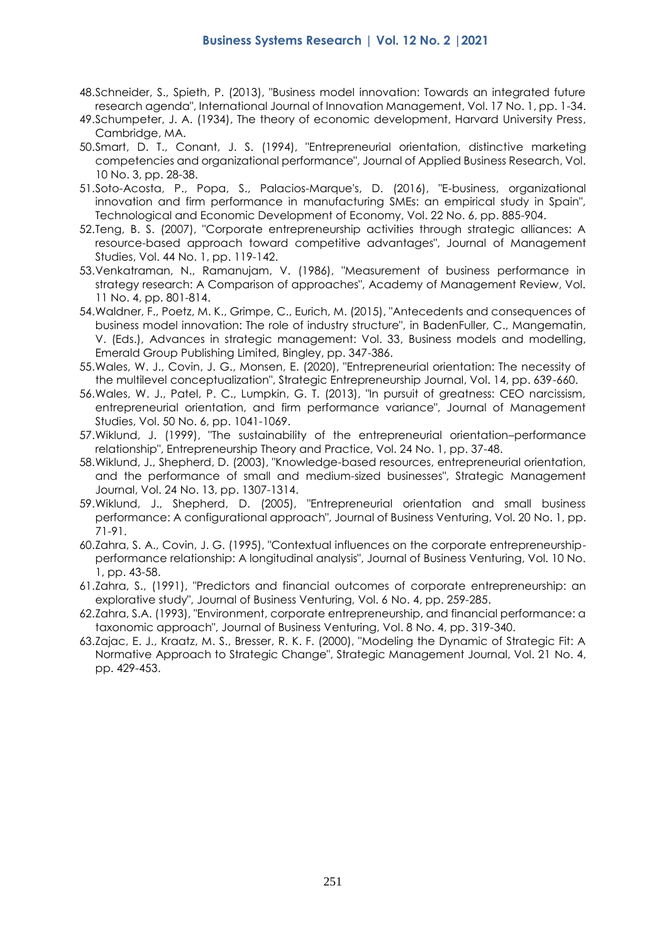- 48.Schneider, S., Spieth, P. (2013), "Business model innovation: Towards an integrated future research agenda", International Journal of Innovation Management, Vol. 17 No. 1, pp. 1-34.
- 49.Schumpeter, J. A. (1934), The theory of economic development, Harvard University Press, Cambridge, MA.
- 50.Smart, D. T., Conant, J. S. (1994), "Entrepreneurial orientation, distinctive marketing competencies and organizational performance", Journal of Applied Business Research, Vol. 10 No. 3, pp. 28-38.
- 51.Soto-Acosta, P., Popa, S., Palacios-Marque's, D. (2016), "E-business, organizational innovation and firm performance in manufacturing SMEs: an empirical study in Spain", Technological and Economic Development of Economy, Vol. 22 No. 6, pp. 885-904.
- 52.Teng, B. S. (2007), "Corporate entrepreneurship activities through strategic alliances: A resource-based approach toward competitive advantages", Journal of Management Studies, Vol. 44 No. 1, pp. 119-142.
- 53.Venkatraman, N., Ramanujam, V. (1986), "Measurement of business performance in strategy research: A Comparison of approaches", Academy of Management Review, Vol. 11 No. 4, pp. 801-814.
- 54.Waldner, F., Poetz, M. K., Grimpe, C., Eurich, M. (2015), "Antecedents and consequences of business model innovation: The role of industry structure", in BadenFuller, C., Mangematin, V. (Eds.), Advances in strategic management: Vol. 33, Business models and modelling, Emerald Group Publishing Limited, Bingley, pp. 347-386.
- 55.Wales, W. J., Covin, J. G., Monsen, E. (2020), "Entrepreneurial orientation: The necessity of the multilevel conceptualization", Strategic Entrepreneurship Journal, Vol. 14, pp. 639-660.
- 56.Wales, W. J., Patel, P. C., Lumpkin, G. T. (2013), "In pursuit of greatness: CEO narcissism, entrepreneurial orientation, and firm performance variance", Journal of Management Studies, Vol. 50 No. 6, pp. 1041-1069.
- 57.Wiklund, J. (1999), "The sustainability of the entrepreneurial orientation–performance relationship", Entrepreneurship Theory and Practice, Vol. 24 No. 1, pp. 37-48.
- 58.Wiklund, J., Shepherd, D. (2003), "Knowledge-based resources, entrepreneurial orientation, and the performance of small and medium-sized businesses", Strategic Management Journal, Vol. 24 No. 13, pp. 1307-1314.
- 59.Wiklund, J., Shepherd, D. (2005), "Entrepreneurial orientation and small business performance: A configurational approach", Journal of Business Venturing, Vol. 20 No. 1, pp. 71-91.
- 60.Zahra, S. A., Covin, J. G. (1995), "Contextual influences on the corporate entrepreneurshipperformance relationship: A longitudinal analysis", Journal of Business Venturing, Vol. 10 No. 1, pp. 43-58.
- 61.Zahra, S., (1991), "Predictors and financial outcomes of corporate entrepreneurship: an explorative study", Journal of Business Venturing, Vol. 6 No. 4, pp. 259-285.
- 62.Zahra, S.A. (1993), "Environment, corporate entrepreneurship, and financial performance: a taxonomic approach", Journal of Business Venturing, Vol. 8 No. 4, pp. 319-340.
- 63.Zajac, E. J., Kraatz, M. S., Bresser, R. K. F. (2000), "Modeling the Dynamic of Strategic Fit: A Normative Approach to Strategic Change", Strategic Management Journal, Vol. 21 No. 4, pp. 429-453.